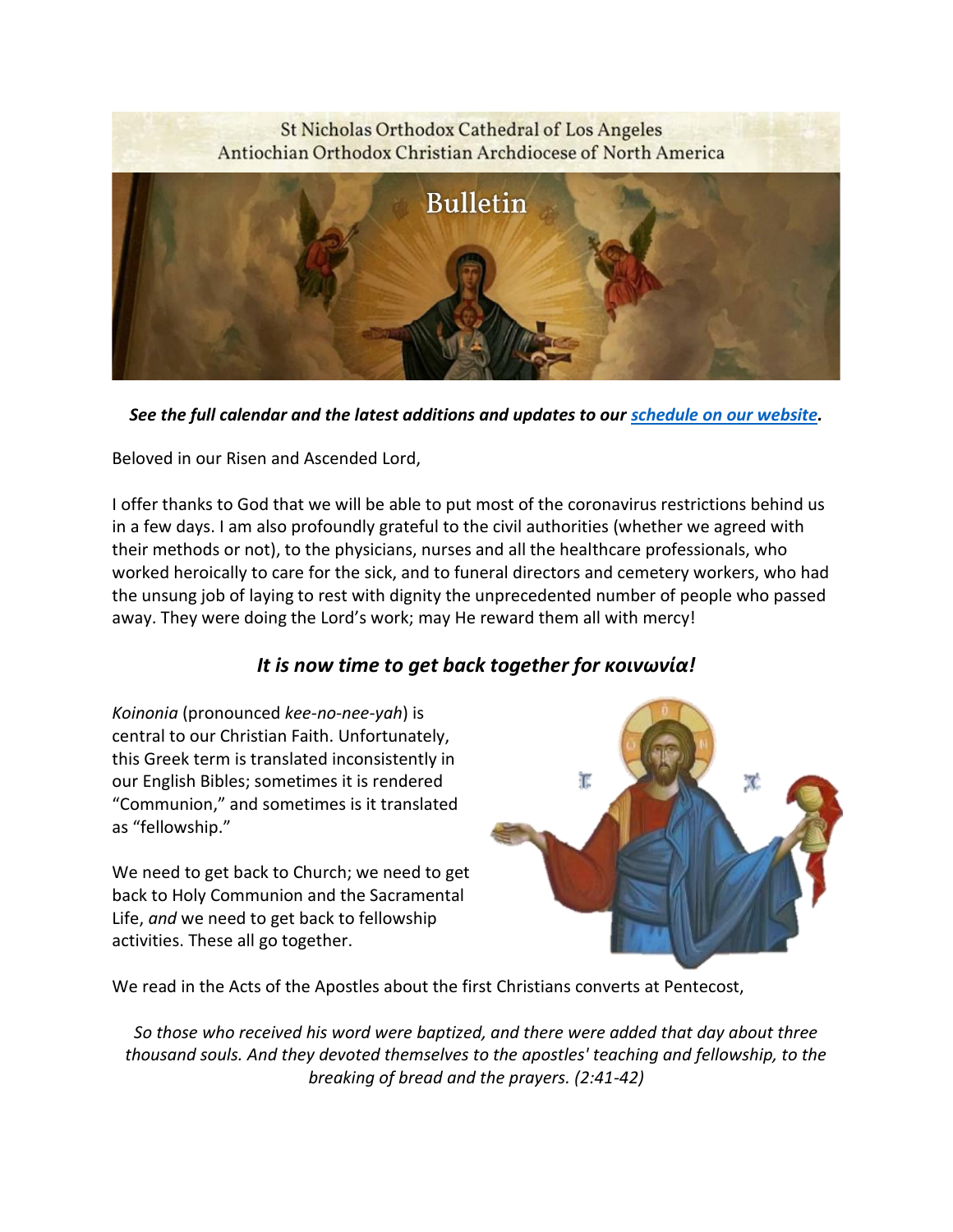# St Nicholas Orthodox Cathedral of Los Angeles Antiochian Orthodox Christian Archdiocese of North America **Bulletin**

*See the full calendar and the latest additions and updates to our [schedule on our website.](https://stnicholasla.org/parishcalendar)*

Beloved in our Risen and Ascended Lord,

I offer thanks to God that we will be able to put most of the coronavirus restrictions behind us in a few days. I am also profoundly grateful to the civil authorities (whether we agreed with their methods or not), to the physicians, nurses and all the healthcare professionals, who worked heroically to care for the sick, and to funeral directors and cemetery workers, who had the unsung job of laying to rest with dignity the unprecedented number of people who passed away. They were doing the Lord's work; may He reward them all with mercy!

## *It is now time to get back together for κοινωνία!*

*Koinonia* (pronounced *kee-no-nee-yah*) is central to our Christian Faith. Unfortunately, this Greek term is translated inconsistently in our English Bibles; sometimes it is rendered "Communion," and sometimes is it translated as "fellowship."

We need to get back to Church; we need to get back to Holy Communion and the Sacramental Life, *and* we need to get back to fellowship activities. These all go together.



We read in the Acts of the Apostles about the first Christians converts at Pentecost,

*So those who received his word were baptized, and there were added that day about three thousand souls. And they devoted themselves to the apostles' teaching and fellowship, to the breaking of bread and the prayers. (2:41-42)*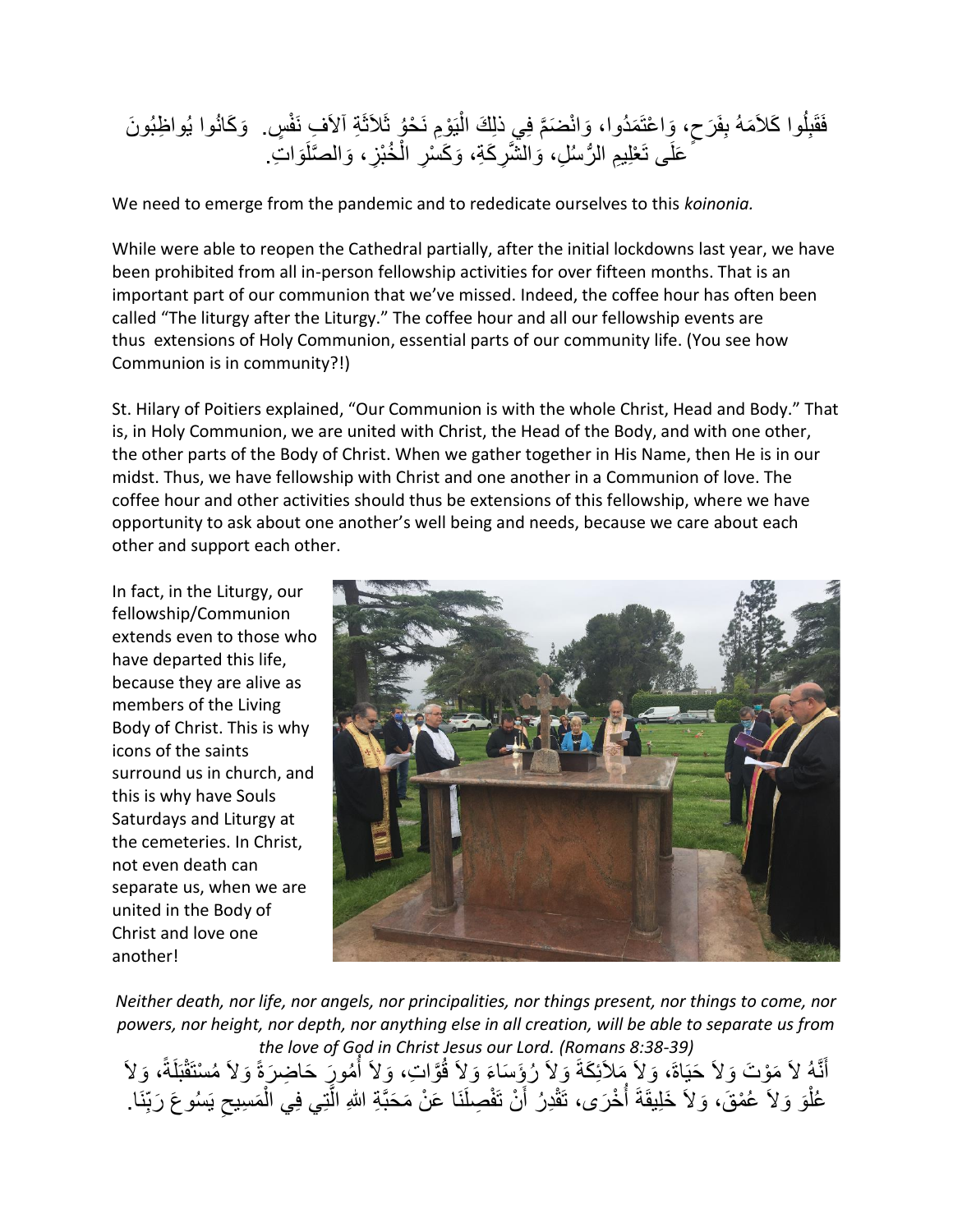#### فَقَلُوا كَلأَمَهُ بِفَرَحٍ، وَاعْتَمَدُوا، وَانْضَمَّ فِي ذَلِكَ الْيَوْمِ نَحْوُ ثَلاَثَةِ ٱلأَفِ نَفْسٍ. وَكَانُوا يُواظِبُونَ ْ عَلَى تَعْلِيمِ الرُّسُلِ، وَالشَّرِكَةِ، وَكَسْرِ الْخُبْزِ، وَالصَّلَوَاتِ<sub>.</sub> ْ

We need to emerge from the pandemic and to rededicate ourselves to this *koinonia.*

While were able to reopen the Cathedral partially, after the initial lockdowns last year, we have been prohibited from all in-person fellowship activities for over fifteen months. That is an important part of our communion that we've missed. Indeed, the coffee hour has often been called "The liturgy after the Liturgy." The coffee hour and all our fellowship events are thus extensions of Holy Communion, essential parts of our community life. (You see how Communion is in community?!)

St. Hilary of Poitiers explained, "Our Communion is with the whole Christ, Head and Body." That is, in Holy Communion, we are united with Christ, the Head of the Body, and with one other, the other parts of the Body of Christ. When we gather together in His Name, then He is in our midst. Thus, we have fellowship with Christ and one another in a Communion of love. The coffee hour and other activities should thus be extensions of this fellowship, where we have opportunity to ask about one another's well being and needs, because we care about each other and support each other.

In fact, in the Liturgy, our fellowship/Communion extends even to those who have departed this life, because they are alive as members of the Living Body of Christ. This is why icons of the saints surround us in church, and this is why have Souls Saturdays and Liturgy at the cemeteries. In Christ, not even death can separate us, when we are united in the Body of Christ and love one another!



*Neither death, nor life, nor angels, nor principalities, nor things present, nor things to come, nor powers, nor height, nor depth, nor anything else in all creation, will be able to separate us from the love of God in Christ Jesus our Lord. (Romans 8:38-39)* ا<br>أ َ

أَنَّهُ لاَ مَوْتَ وَلاَ حَيَاةَ، وَلاَ مَلاَئِكَةَ وَلاَ رُؤِسَاءَ وَلاَ قُوَّاتٍ، وَلاَ أُمُورَ حَاضِرَةً وَلاَ مُسْتَقْبَلَةً، وَلاَ عُلْوَ وَلاَ عُمْقَ، وَلاَ خَلِيقَةَ أُخْرَى، تَقْدِرُ أَنْ تَفْصِلَنَا عَنْ مَحَبَّةِ اللهِ الَّتِي فِي الْمَسِيحِ يَسُوعَ رَبِّنَا. َّ اً ر<br>أ ْ ِ ْ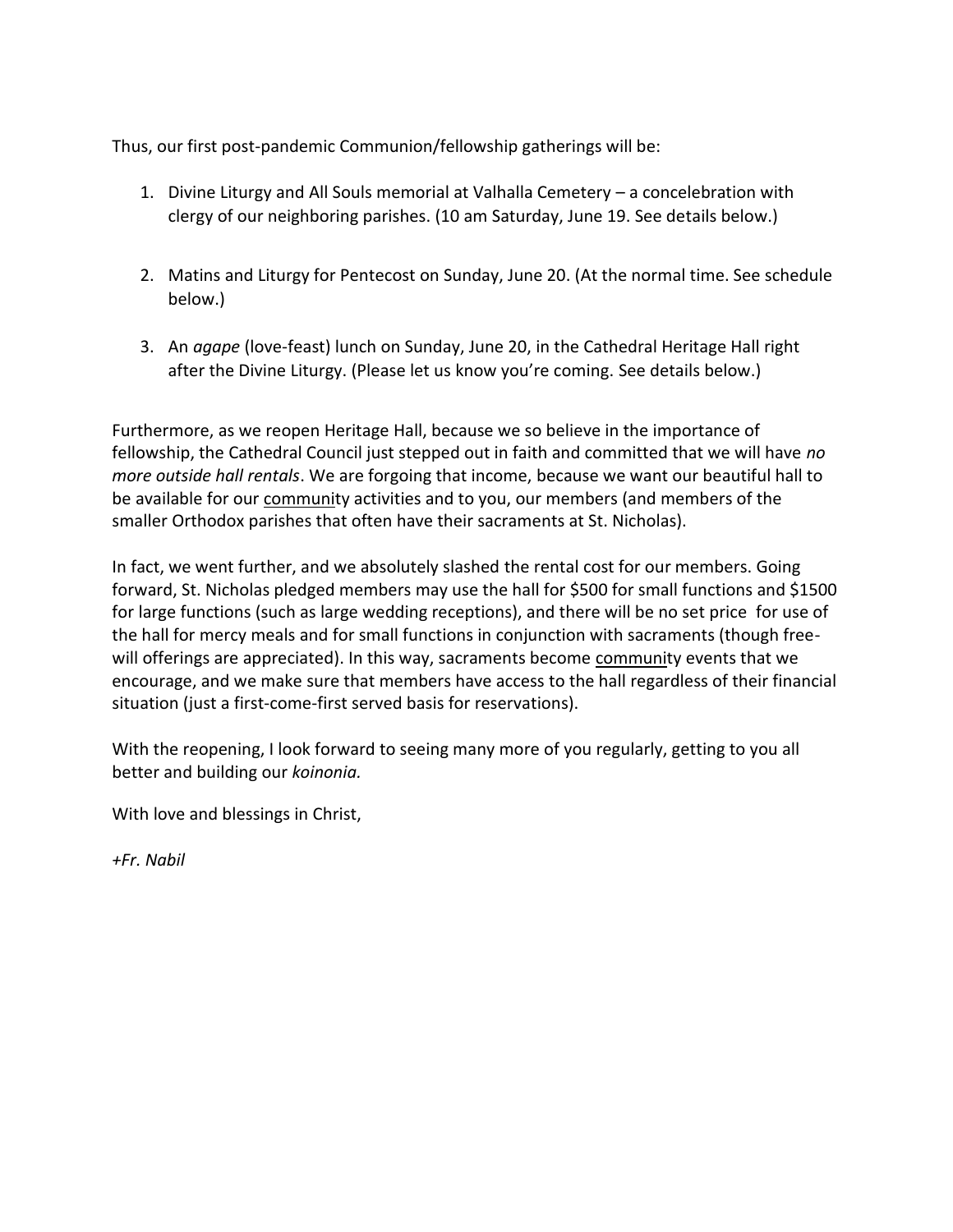Thus, our first post-pandemic Communion/fellowship gatherings will be:

- 1. Divine Liturgy and All Souls memorial at Valhalla Cemetery a concelebration with clergy of our neighboring parishes. (10 am Saturday, June 19. See details below.)
- 2. Matins and Liturgy for Pentecost on Sunday, June 20. (At the normal time. See schedule below.)
- 3. An *agape* (love-feast) lunch on Sunday, June 20, in the Cathedral Heritage Hall right after the Divine Liturgy. (Please let us know you're coming. See details below.)

Furthermore, as we reopen Heritage Hall, because we so believe in the importance of fellowship, the Cathedral Council just stepped out in faith and committed that we will have *no more outside hall rentals*. We are forgoing that income, because we want our beautiful hall to be available for our community activities and to you, our members (and members of the smaller Orthodox parishes that often have their sacraments at St. Nicholas).

In fact, we went further, and we absolutely slashed the rental cost for our members. Going forward, St. Nicholas pledged members may use the hall for \$500 for small functions and \$1500 for large functions (such as large wedding receptions), and there will be no set price for use of the hall for mercy meals and for small functions in conjunction with sacraments (though freewill offerings are appreciated). In this way, sacraments become community events that we encourage, and we make sure that members have access to the hall regardless of their financial situation (just a first-come-first served basis for reservations).

With the reopening, I look forward to seeing many more of you regularly, getting to you all better and building our *koinonia.*

With love and blessings in Christ,

*+Fr. Nabil*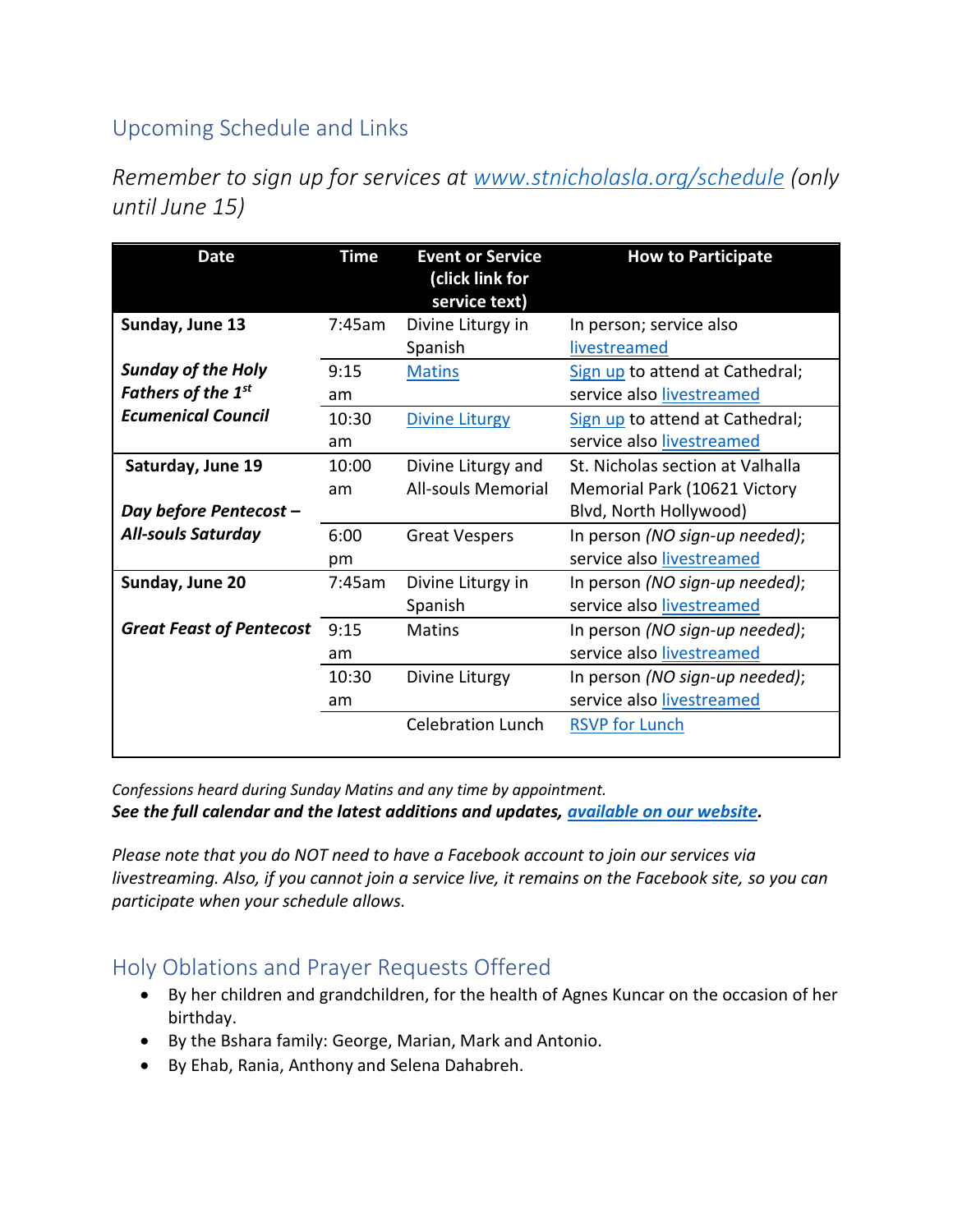# Upcoming Schedule and Links

*Remember to sign up for services at [www.stnicholasla.org/schedule](https://www.eventbrite.com/o/st-nicholas-orthodox-cathedral-of-los-angeles-31921608977) (only until June 15)*

| <b>Date</b>                                            | <b>Time</b> | <b>Event or Service</b><br>(click link for<br>service text) | <b>How to Participate</b>                                                             |
|--------------------------------------------------------|-------------|-------------------------------------------------------------|---------------------------------------------------------------------------------------|
| Sunday, June 13                                        | 7:45am      | Divine Liturgy in<br>Spanish                                | In person; service also<br>livestreamed                                               |
| <b>Sunday of the Holy</b><br><b>Fathers of the 1st</b> | 9:15<br>am  | <b>Matins</b>                                               | Sign up to attend at Cathedral;<br>service also livestreamed                          |
| <b>Ecumenical Council</b>                              | 10:30<br>am | <b>Divine Liturgy</b>                                       | Sign up to attend at Cathedral;<br>service also livestreamed                          |
| Saturday, June 19                                      | 10:00<br>am | Divine Liturgy and<br><b>All-souls Memorial</b>             | St. Nicholas section at Valhalla<br>Memorial Park (10621 Victory                      |
| Day before Pentecost -<br><b>All-souls Saturday</b>    | 6:00<br>pm  | <b>Great Vespers</b>                                        | Blvd, North Hollywood)<br>In person (NO sign-up needed);<br>service also livestreamed |
| Sunday, June 20                                        | 7:45am      | Divine Liturgy in<br>Spanish                                | In person (NO sign-up needed);<br>service also livestreamed                           |
| <b>Great Feast of Pentecost</b>                        | 9:15<br>am  | Matins                                                      | In person (NO sign-up needed);<br>service also livestreamed                           |
|                                                        | 10:30<br>am | Divine Liturgy                                              | In person (NO sign-up needed);<br>service also livestreamed                           |
|                                                        |             | <b>Celebration Lunch</b>                                    | <b>RSVP for Lunch</b>                                                                 |

*Confessions heard during Sunday Matins and any time by appointment. See the full calendar and the latest additions and updates, [available on our website.](https://stnicholasla.org/parishcalendar)*

*Please note that you do NOT need to have a Facebook account to join our services via livestreaming. Also, if you cannot join a service live, it remains on the Facebook site, so you can participate when your schedule allows.*

## Holy Oblations and Prayer Requests Offered

- By her children and grandchildren, for the health of Agnes Kuncar on the occasion of her birthday.
- By the Bshara family: George, Marian, Mark and Antonio.
- By Ehab, Rania, Anthony and Selena Dahabreh.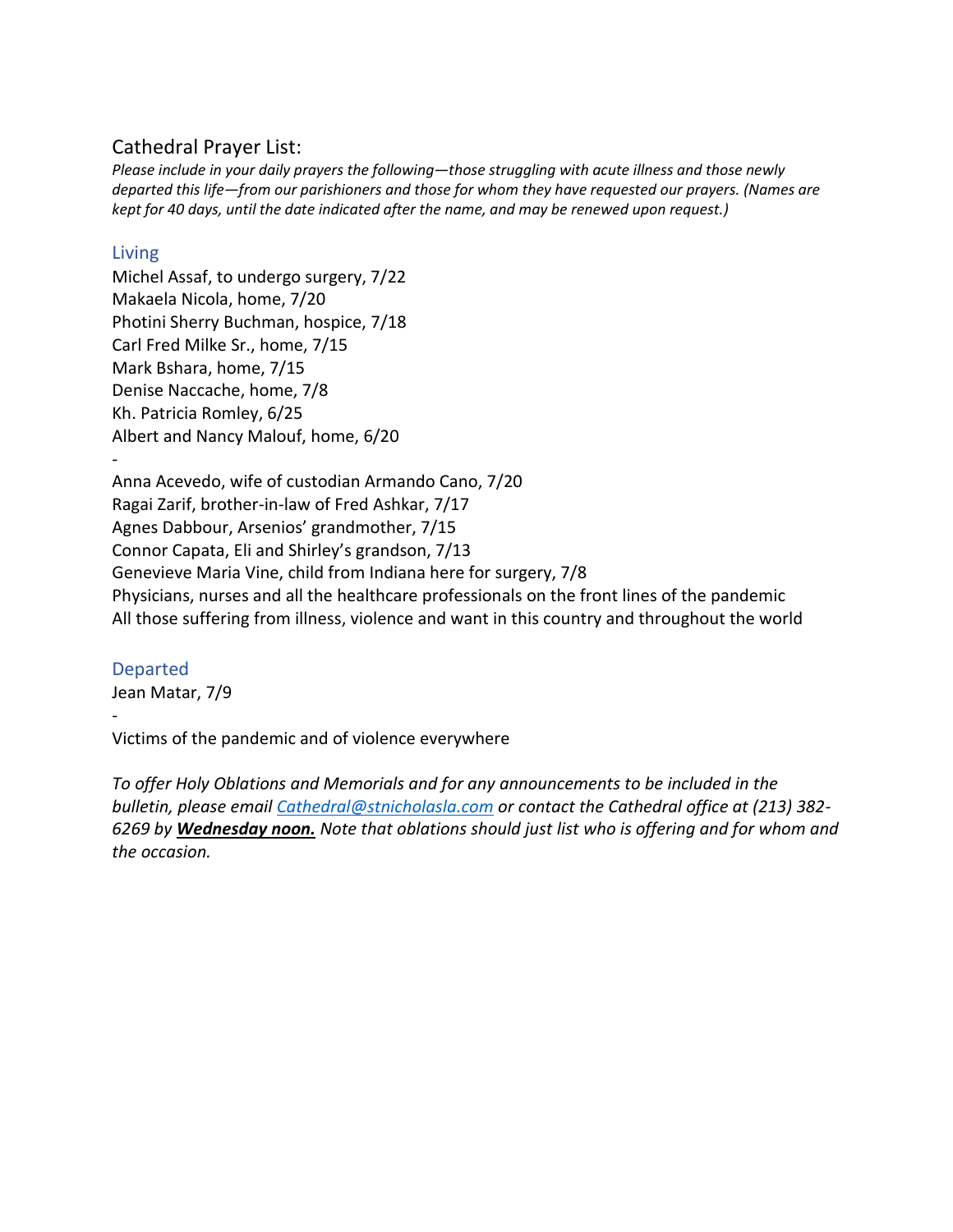## Cathedral Prayer List:

*Please include in your daily prayers the following—those struggling with acute illness and those newly departed this life—from our parishioners and those for whom they have requested our prayers. (Names are kept for 40 days, until the date indicated after the name, and may be renewed upon request.)*

### Living

Michel Assaf, to undergo surgery, 7/22 Makaela Nicola, home, 7/20 Photini Sherry Buchman, hospice, 7/18 Carl Fred Milke Sr., home, 7/15 Mark Bshara, home, 7/15 Denise Naccache, home, 7/8 Kh. Patricia Romley, 6/25 Albert and Nancy Malouf, home, 6/20

- Anna Acevedo, wife of custodian Armando Cano, 7/20 Ragai Zarif, brother-in-law of Fred Ashkar, 7/17 Agnes Dabbour, Arsenios' grandmother, 7/15 Connor Capata, Eli and Shirley's grandson, 7/13 Genevieve Maria Vine, child from Indiana here for surgery, 7/8 Physicians, nurses and all the healthcare professionals on the front lines of the pandemic All those suffering from illness, violence and want in this country and throughout the world

#### Departed

-

Jean Matar, 7/9

Victims of the pandemic and of violence everywhere

*To offer Holy Oblations and Memorials and for any announcements to be included in the bulletin, please email [Cathedral@stnicholasla.com](mailto:Cathedral@stnicholasla.com) or contact the Cathedral office at (213) 382- 6269 by Wednesday noon. Note that oblations should just list who is offering and for whom and the occasion.*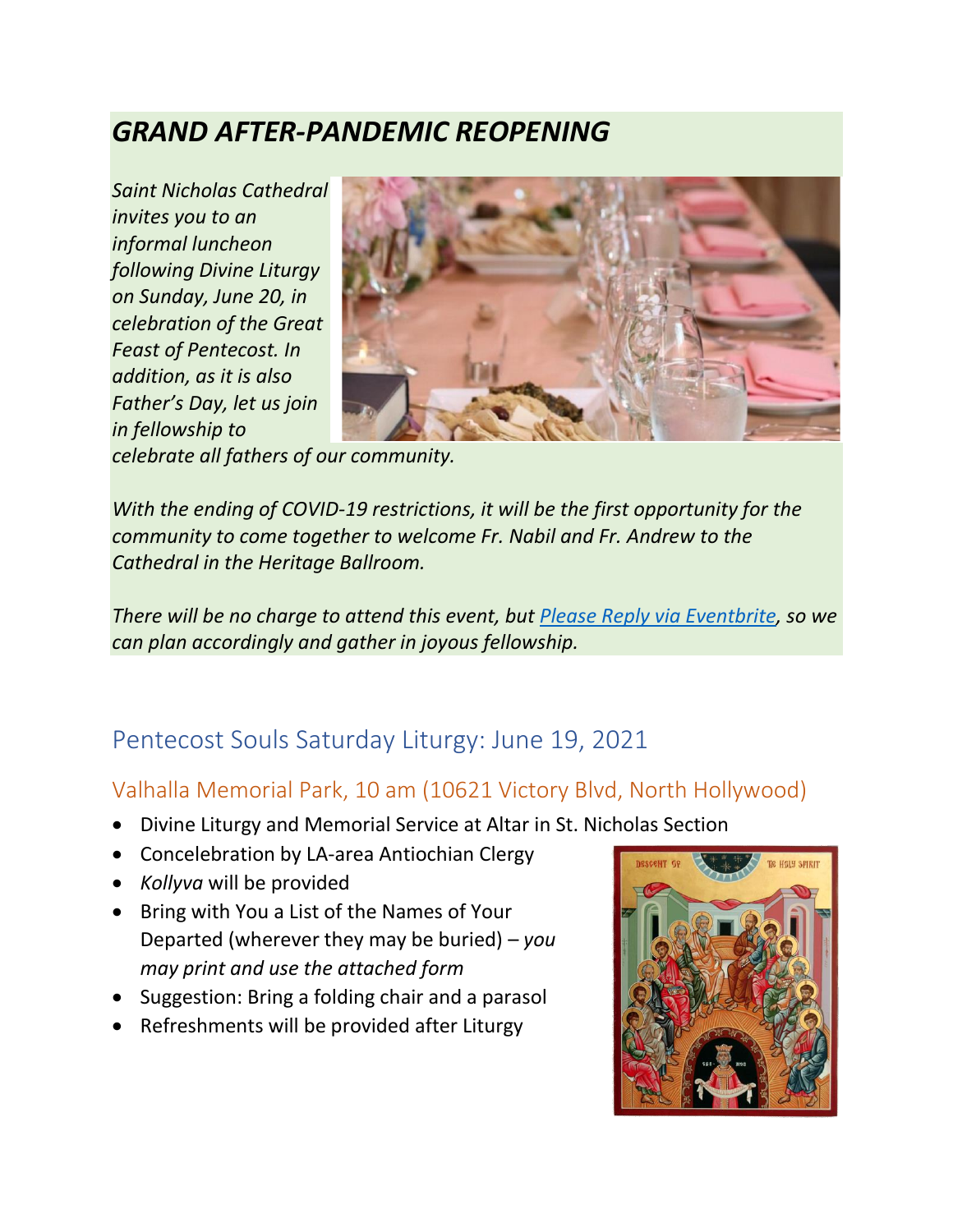# *GRAND AFTER-PANDEMIC REOPENING*

*Saint Nicholas Cathedral invites you to an informal luncheon following Divine Liturgy on Sunday, June 20, in celebration of the Great Feast of Pentecost. In addition, as it is also Father's Day, let us join in fellowship to* 



*celebrate all fathers of our community.*

*With the ending of COVID-19 restrictions, it will be the first opportunity for the community to come together to welcome Fr. Nabil and Fr. Andrew to the Cathedral in the Heritage Ballroom.*

*There will be no charge to attend this event, but [Please Reply via Eventbrite,](https://www.eventbrite.com/e/pentecost-luncheon-celebration-tickets-156793789445) so we can plan accordingly and gather in joyous fellowship.*

# Pentecost Souls Saturday Liturgy: June 19, 2021

## Valhalla Memorial Park, 10 am (10621 Victory Blvd, North Hollywood)

- Divine Liturgy and Memorial Service at Altar in St. Nicholas Section
- Concelebration by LA-area Antiochian Clergy
- *Kollyva* will be provided
- Bring with You a List of the Names of Your Departed (wherever they may be buried) – *you may print and use the attached form*
- Suggestion: Bring a folding chair and a parasol
- Refreshments will be provided after Liturgy

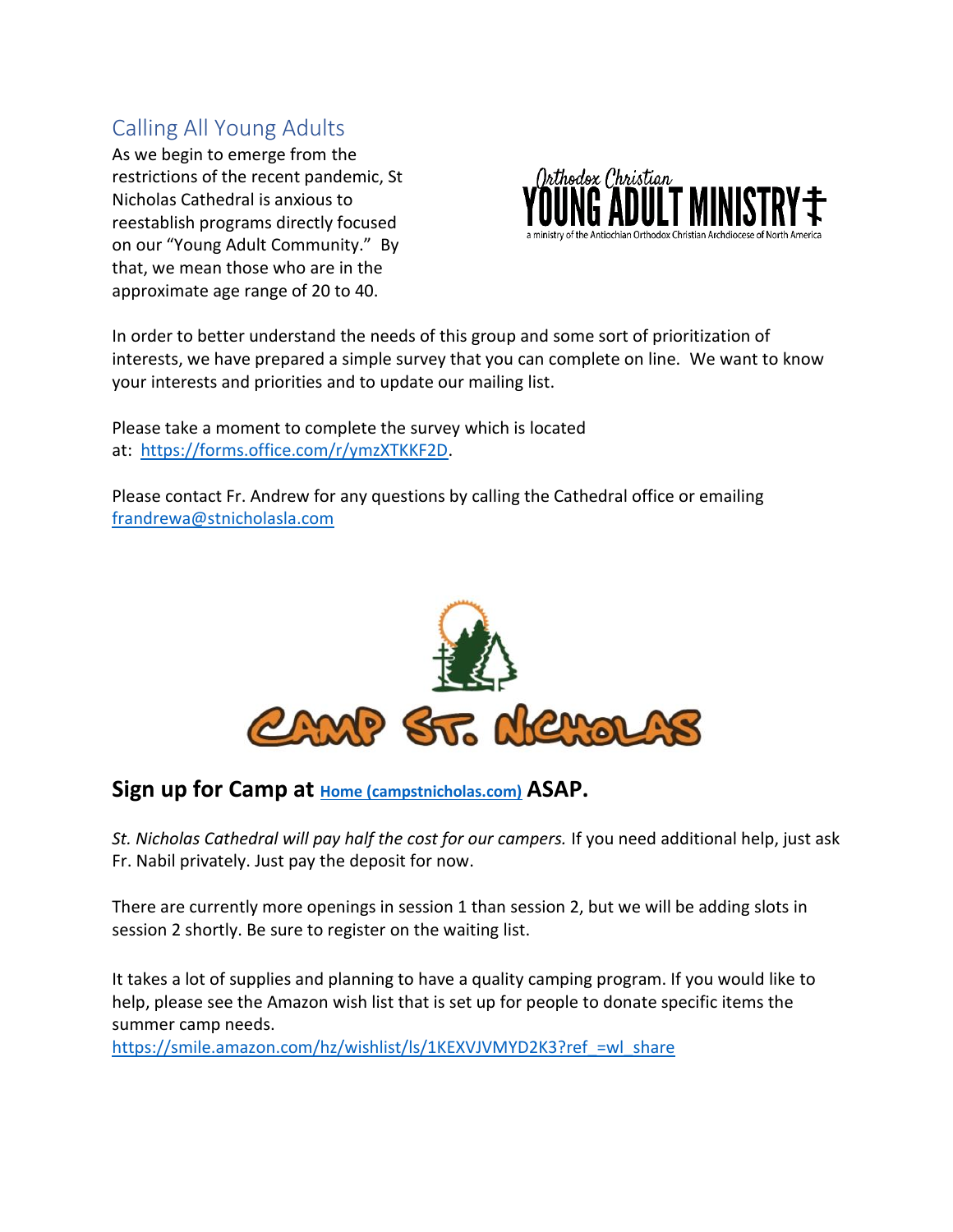# Calling All Young Adults

As we begin to emerge from the restrictions of the recent pandemic, St Nicholas Cathedral is anxious to reestablish programs directly focused on our "Young Adult Community." By that, we mean those who are in the approximate age range of 20 to 40.



In order to better understand the needs of this group and some sort of prioritization of interests, we have prepared a simple survey that you can complete on line. We want to know your interests and priorities and to update our mailing list.

Please take a moment to complete the survey which is located at: [https://forms.office.com/r/ymzXTKKF2D.](https://forms.office.com/r/ymzXTKKF2D)

Please contact Fr. Andrew for any questions by calling the Cathedral office or emailing [frandrewa@stnicholasla.com](mailto:frandrewa@stnicholasla.com)



**Sign up for Camp at [Home \(campstnicholas.com\)](https://www.campstnicholas.com/site/home/) ASAP.** 

*St. Nicholas Cathedral will pay half the cost for our campers.* If you need additional help, just ask Fr. Nabil privately. Just pay the deposit for now.

There are currently more openings in session 1 than session 2, but we will be adding slots in session 2 shortly. Be sure to register on the waiting list.

It takes a lot of supplies and planning to have a quality camping program. If you would like to help, please see the Amazon wish list that is set up for people to donate specific items the summer camp needs.

[https://smile.amazon.com/hz/wishlist/ls/1KEXVJVMYD2K3?ref\\_=wl\\_share](https://smile.amazon.com/hz/wishlist/ls/1KEXVJVMYD2K3?ref_=wl_share)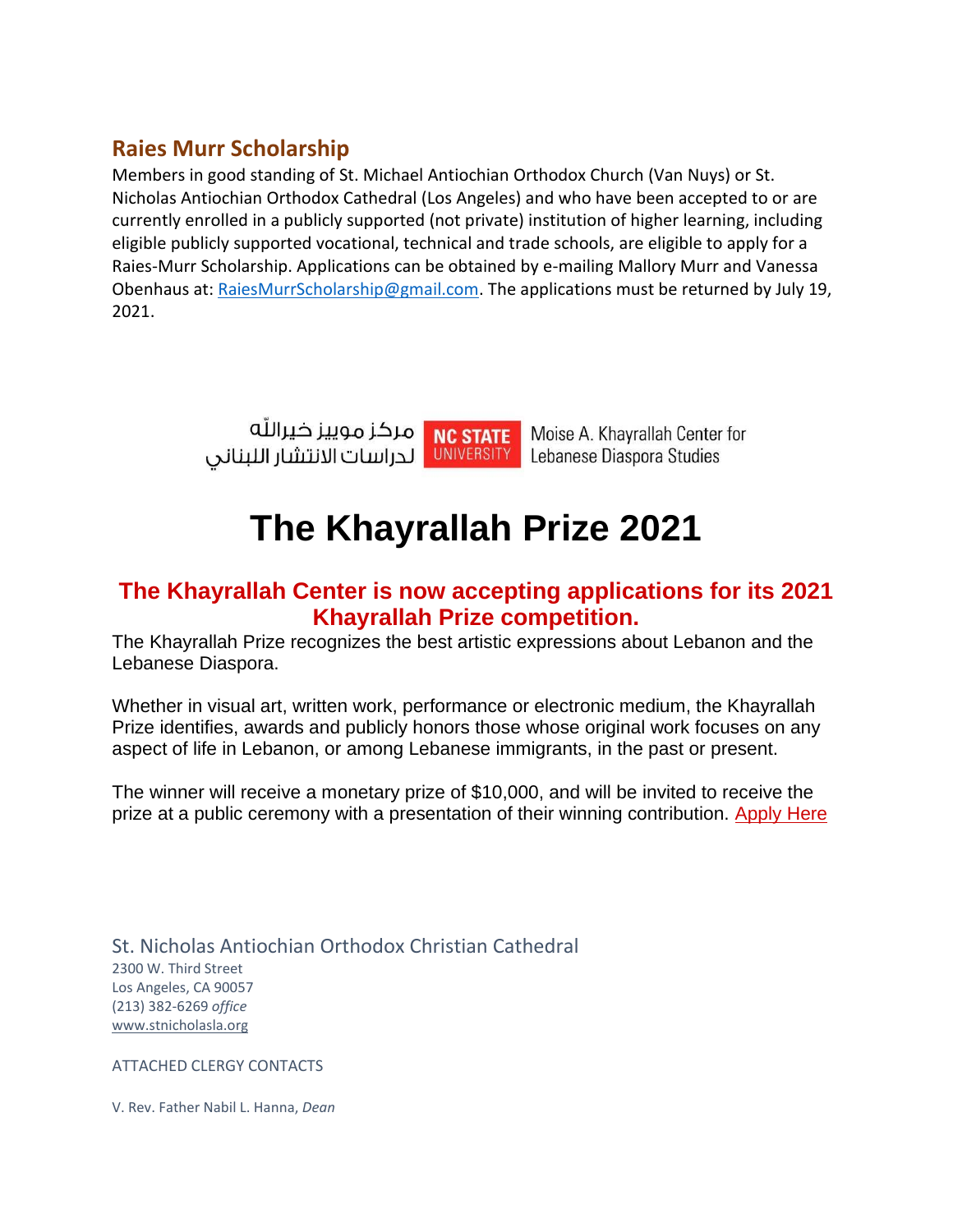# **Raies Murr Scholarship**

Members in good standing of St. Michael Antiochian Orthodox Church (Van Nuys) or St. Nicholas Antiochian Orthodox Cathedral (Los Angeles) and who have been accepted to or are currently enrolled in a publicly supported (not private) institution of higher learning, including eligible publicly supported vocational, technical and trade schools, are eligible to apply for a Raies-Murr Scholarship. Applications can be obtained by e-mailing Mallory Murr and Vanessa Obenhaus at: [RaiesMurrScholarship@gmail.com.](mailto:RaiesMurrScholarship@gmail.com) The applications must be returned by July 19, 2021.



# **The Khayrallah Prize 2021**

## **The Khayrallah Center is now accepting applications for its 2021 Khayrallah Prize competition.**

The Khayrallah Prize recognizes the best artistic expressions about Lebanon and the Lebanese Diaspora.

Whether in visual art, written work, performance or electronic medium, the Khayrallah Prize identifies, awards and publicly honors those whose original work focuses on any aspect of life in Lebanon, or among Lebanese immigrants, in the past or present.

The winner will receive a monetary prize of \$10,000, and will be invited to receive the prize at a public ceremony with a presentation of their winning contribution. [Apply Here](https://ncsu.us10.list-manage.com/track/click?u=4cc54d8bd8f4ceb705227cf2e&id=7a72d94e54&e=2872102943)

St. Nicholas Antiochian Orthodox Christian Cathedral 2300 W. Third Street Los Angeles, CA 90057 (213) 382-6269 *office* [www.stnicholasla.org](https://eur01.safelinks.protection.outlook.com/?url=http%3A%2F%2Fwww.stnicholasla.com%2F&data=04%7C01%7C%7C5cc89342292b4eef81df08d87148a9dc%7C84df9e7fe9f640afb435aaaaaaaaaaaa%7C1%7C0%7C637383904238284013%7CUnknown%7CTWFpbGZsb3d8eyJWIjoiMC4wLjAwMDAiLCJQIjoiV2luMzIiLCJBTiI6Ik1haWwiLCJXVCI6Mn0%3D%7C1000&sdata=%2BG0avIUcgmUPtLaYloJvYsvg3TzngjIUWQUqo1%2FUIyY%3D&reserved=0)

ATTACHED CLERGY CONTACTS

V. Rev. Father Nabil L. Hanna, *Dean*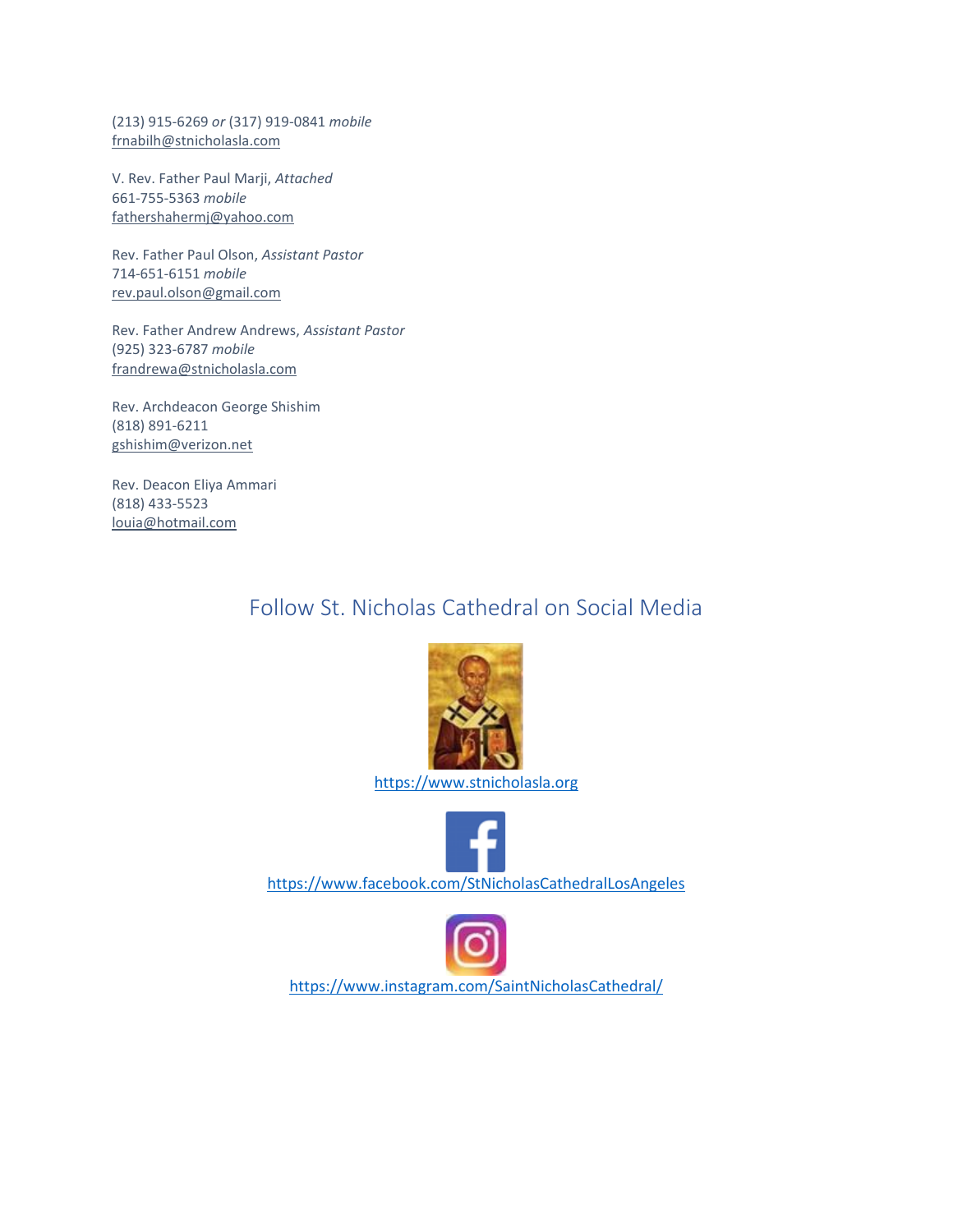(213) 915-6269 *or* (317) 919-0841 *mobile* [frnabilh@stnicholasla.com](mailto:frnabilh@stnicholasla.com)

V. Rev. Father Paul Marji, *Attached* 661-755-5363 *mobile* [fathershahermj@yahoo.com](mailto:fathershahermj@yahoo.com)

Rev. Father Paul Olson, *Assistant Pastor* 714-651-6151 *mobile* [rev.paul.olson@gmail.com](mailto:rev.paul.olson@gmail.com)

Rev. Father Andrew Andrews, *Assistant Pastor* (925) 323-6787 *mobile* [frandrewa@stnicholasla.com](mailto:frandrewa@stnicholasla.com)

Rev. Archdeacon George Shishim (818) 891-6211 [gshishim@verizon.net](mailto:gshishim@verizon.net)

Rev. Deacon Eliya Ammari (818) 433-5523 [louia@hotmail.com](mailto:louia@hotmail.com)

# Follow St. Nicholas Cathedral on Social Media



[https://www.stnicholasla.org](https://www.stnicholasla.org/)



[https://www.facebook.com/StNicholasCathedralLosAngeles](https://eur01.safelinks.protection.outlook.com/?url=https%3A%2F%2Fwww.facebook.com%2FStNicholasCathedralLosAngeles&data=04%7C01%7C%7C5cc89342292b4eef81df08d87148a9dc%7C84df9e7fe9f640afb435aaaaaaaaaaaa%7C1%7C0%7C637383904238293994%7CUnknown%7CTWFpbGZsb3d8eyJWIjoiMC4wLjAwMDAiLCJQIjoiV2luMzIiLCJBTiI6Ik1haWwiLCJXVCI6Mn0%3D%7C1000&sdata=NV14IuC6xRaqnXWmHCWK4HAB9%2BhnremUcnJ%2FdENXUvo%3D&reserved=0)



[https://www.instagram.com/SaintNicholasCathedral/](https://eur01.safelinks.protection.outlook.com/?url=https%3A%2F%2Fwww.instagram.com%2FSaintNicholasCathedral%2F&data=04%7C01%7C%7C5cc89342292b4eef81df08d87148a9dc%7C84df9e7fe9f640afb435aaaaaaaaaaaa%7C1%7C0%7C637383904238308968%7CUnknown%7CTWFpbGZsb3d8eyJWIjoiMC4wLjAwMDAiLCJQIjoiV2luMzIiLCJBTiI6Ik1haWwiLCJXVCI6Mn0%3D%7C1000&sdata=n%2B7z9WgSYjd99k17YpPPNybN4ox7sMmdkqwbk5GPExI%3D&reserved=0)